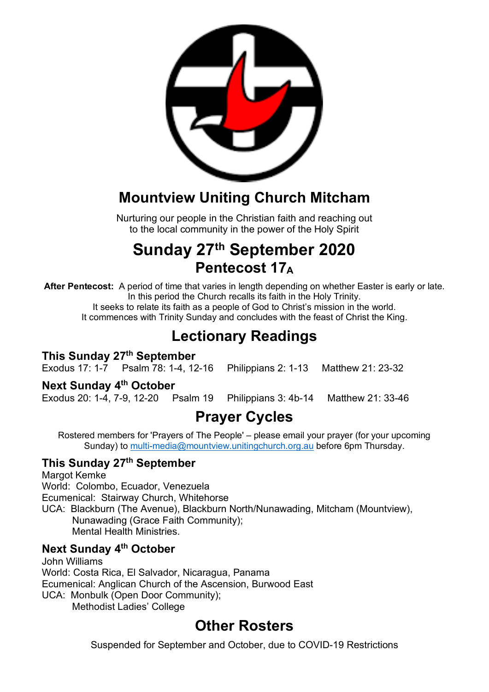

## **Mountview Uniting Church Mitcham**

Nurturing our people in the Christian faith and reaching out to the local community in the power of the Holy Spirit

# **Sunday 27th September 2020 Pentecost 17A**

**After Pentecost:** A period of time that varies in length depending on whether Easter is early or late. In this period the Church recalls its faith in the Holy Trinity. It seeks to relate its faith as a people of God to Christ's mission in the world.

It commences with Trinity Sunday and concludes with the feast of Christ the King.

## **Lectionary Readings**

### **This Sunday 27th September**

Exodus 17: 1-7 Psalm 78: 1-4, 12-16 Philippians 2: 1-13 Matthew 21: 23-32

### **Next Sunday 4th October**

Exodus 20: 1-4, 7-9, 12-20 Psalm 19 Philippians 3: 4b-14 Matthew 21: 33-46

## **Prayer Cycles**

Rostered members for 'Prayers of The People' – please email your prayer (for your upcoming Sunday) to multi-media@mountview.unitingchurch.org.au before 6pm Thursday.

### **This Sunday 27th September**

Margot Kemke World: Colombo, Ecuador, Venezuela Ecumenical: Stairway Church, Whitehorse UCA: Blackburn (The Avenue), Blackburn North/Nunawading, Mitcham (Mountview), Nunawading (Grace Faith Community); Mental Health Ministries.

### **Next Sunday 4th October**

John Williams World: Costa Rica, El Salvador, Nicaragua, Panama Ecumenical: Anglican Church of the Ascension, Burwood East UCA: Monbulk (Open Door Community); Methodist Ladies' College

### **Other Rosters**

Suspended for September and October, due to COVID-19 Restrictions